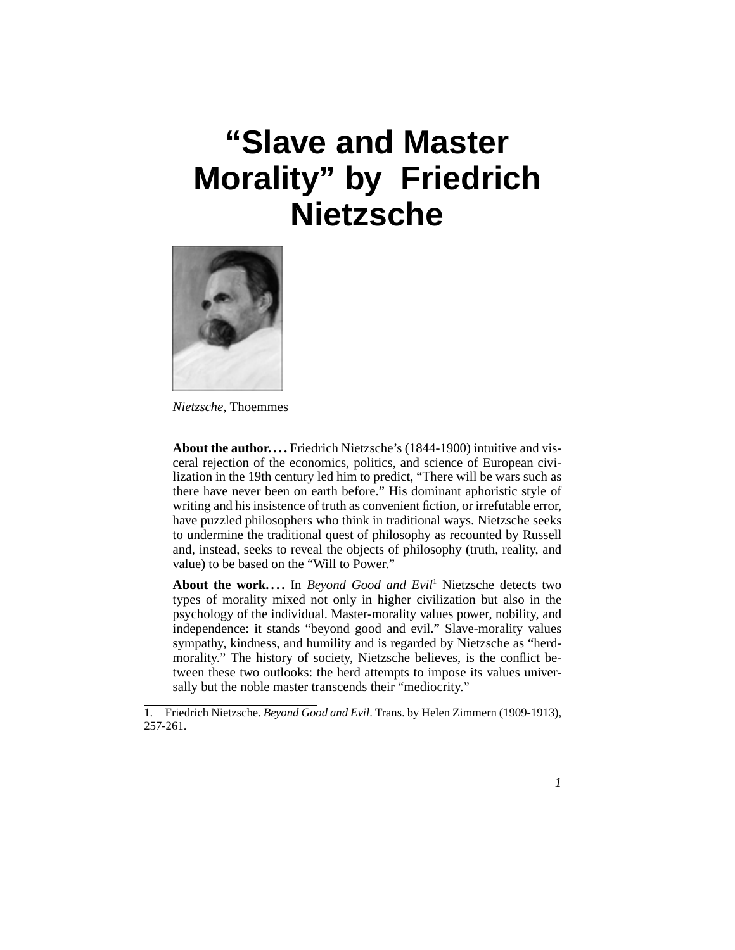# **"Slave and Master Morality" by Friedrich Nietzsche**



*Nietzsche*, Thoemmes

<span id="page-0-0"></span>**About the author....** Friedrich Nietzsche's (1844-1900) intuitive and visceral rejection of the economics, politics, and science of European civilization in the 19th century led him to predict, "There will be wars such as there have never been on earth before." His dominant aphoristic style of writing and his insistence of truth as convenient fiction, or irrefutable error, have puzzled philosophers who think in traditional ways. Nietzsche seeks to undermine the traditional quest of philosophy as recounted by Russell and, instead, seeks to reveal the objects of philosophy (truth, reality, and value) to be based on the "Will to Power."

<span id="page-0-1"></span>About the work.... In *Beyond Good and Evil*<sup>1</sup> Nietzsche detects two types of morality mixed not only in higher civilization but also in the psychology of the individual. Master-morality values power, nobility, and independence: it stands "beyond good and evil." Slave-morality values sympathy, kindness, and humility and is regarded by Nietzsche as "herdmorality." The history of society, Nietzsche believes, is the conflict between these two outlooks: the herd attempts to impose its values universally but the noble master transcends their "mediocrity."

<sup>1.</sup> Friedrich Nietzsche. *Beyond Good and Evil*. Trans. by Helen Zimmern (1909-1913), 257-261.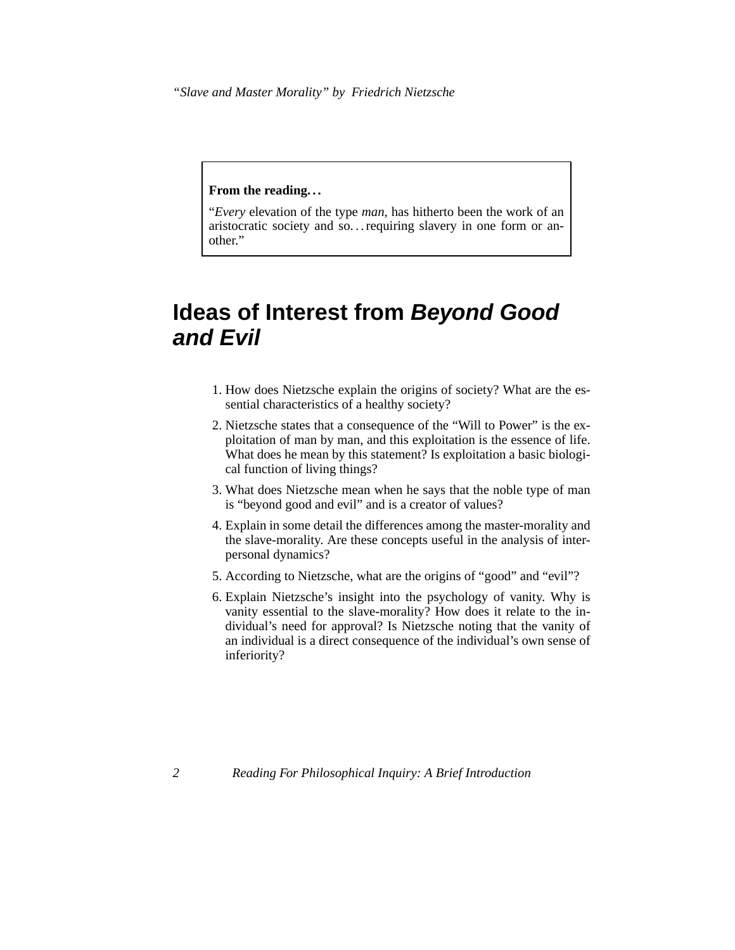*"Slave and Master Morality" by Friedrich Nietzsche*

#### **From the reading. . .**

"*Every* elevation of the type *man*, has hitherto been the work of an aristocratic society and so... requiring slavery in one form or another."

# **Ideas of Interest from Beyond Good and Evil**

- 1. How does Nietzsche explain the origins of society? What are the essential characteristics of a healthy society?
- 2. Nietzsche states that a consequence of the "Will to Power" is the exploitation of man by man, and this exploitation is the essence of life. What does he mean by this statement? Is exploitation a basic biological function of living things?
- 3. What does Nietzsche mean when he says that the noble type of man is "beyond good and evil" and is a creator of values?
- 4. Explain in some detail the differences among the master-morality and the slave-morality. Are these concepts useful in the analysis of interpersonal dynamics?
- 5. According to Nietzsche, what are the origins of "good" and "evil"?
- <span id="page-1-0"></span>6. Explain Nietzsche's insight into the psychology of vanity. Why is vanity essential to the slave-morality? How does it relate to the individual's need for approval? Is Nietzsche noting that the vanity of an individual is a direct consequence of the individual's own sense of inferiority?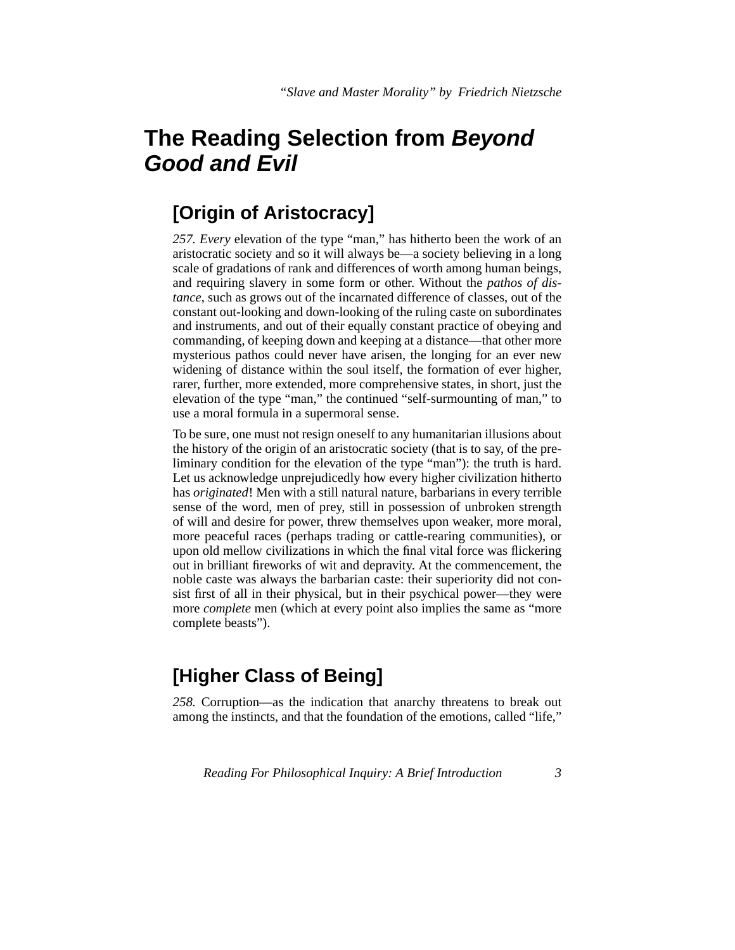# **The Reading Selection from Beyond Good and Evil**

#### **[Origin of Aristocracy]**

<span id="page-2-0"></span>*257. Every* elevation of the type "man," has hitherto been the work of an aristocratic society and so it will always be—a society believing in a long scale of gradations of rank and differences of worth among human beings, and requiring slavery in some form or other. Without the *pathos of distance*, such as grows out of the incarnated difference of classes, out of the constant out-looking and down-looking of the ruling caste on subordinates and instruments, and out of their equally constant practice of obeying and commanding, of keeping down and keeping at a distance—that other more mysterious pathos could never have arisen, the longing for an ever new widening of distance within the soul itself, the formation of ever higher, rarer, further, more extended, more comprehensive states, in short, just the elevation of the type "man," the continued "self-surmounting of man," to use a moral formula in a supermoral sense.

To be sure, one must not resign oneself to any humanitarian illusions about the history of the origin of an aristocratic society (that is to say, of the preliminary condition for the elevation of the type "man"): the truth is hard. Let us acknowledge unprejudicedly how every higher civilization hitherto has *originated*! Men with a still natural nature, barbarians in every terrible sense of the word, men of prey, still in possession of unbroken strength of will and desire for power, threw themselves upon weaker, more moral, more peaceful races (perhaps trading or cattle-rearing communities), or upon old mellow civilizations in which the final vital force was flickering out in brilliant fireworks of wit and depravity. At the commencement, the noble caste was always the barbarian caste: their superiority did not consist first of all in their physical, but in their psychical power—they were more *complete* men (which at every point also implies the same as "more complete beasts").

### **[Higher Class of Being]**

*258.* Corruption—as the indication that anarchy threatens to break out among the instincts, and that the foundation of the emotions, called "life,"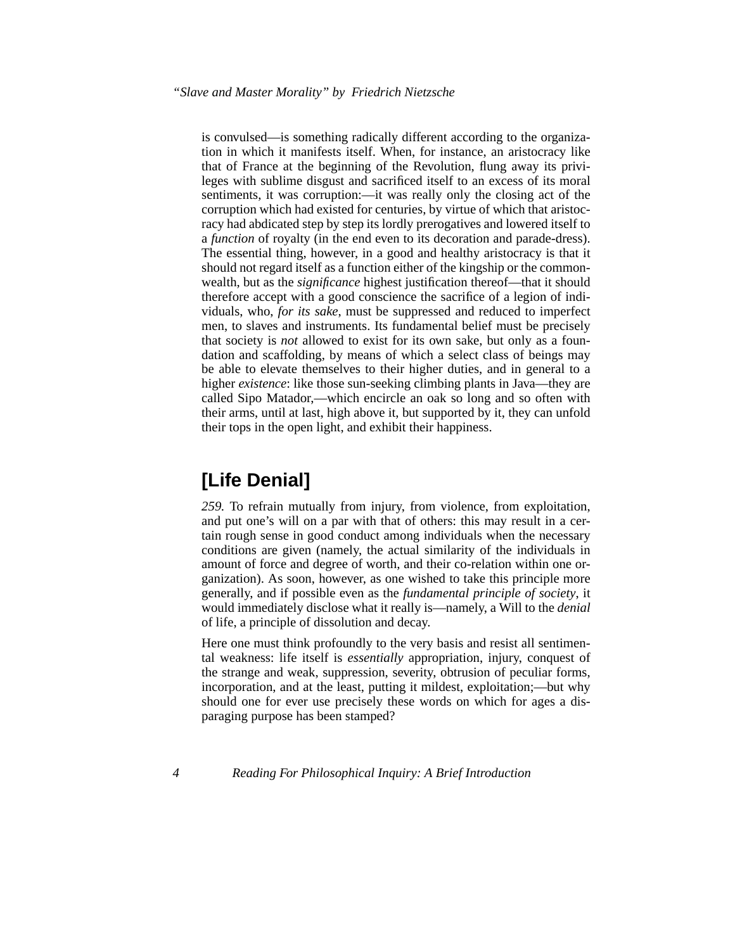is convulsed—is something radically different according to the organization in which it manifests itself. When, for instance, an aristocracy like that of France at the beginning of the Revolution, flung away its privileges with sublime disgust and sacrificed itself to an excess of its moral sentiments, it was corruption:—it was really only the closing act of the corruption which had existed for centuries, by virtue of which that aristocracy had abdicated step by step its lordly prerogatives and lowered itself to a *function* of royalty (in the end even to its decoration and parade-dress). The essential thing, however, in a good and healthy aristocracy is that it should not regard itself as a function either of the kingship or the commonwealth, but as the *significance* highest justification thereof—that it should therefore accept with a good conscience the sacrifice of a legion of individuals, who, *for its sake*, must be suppressed and reduced to imperfect men, to slaves and instruments. Its fundamental belief must be precisely that society is *not* allowed to exist for its own sake, but only as a foundation and scaffolding, by means of which a select class of beings may be able to elevate themselves to their higher duties, and in general to a higher *existence*: like those sun-seeking climbing plants in Java—they are called Sipo Matador,—which encircle an oak so long and so often with their arms, until at last, high above it, but supported by it, they can unfold their tops in the open light, and exhibit their happiness.

### **[Life Denial]**

*259.* To refrain mutually from injury, from violence, from exploitation, and put one's will on a par with that of others: this may result in a certain rough sense in good conduct among individuals when the necessary conditions are given (namely, the actual similarity of the individuals in amount of force and degree of worth, and their co-relation within one organization). As soon, however, as one wished to take this principle more generally, and if possible even as the *fundamental principle of society*, it would immediately disclose what it really is—namely, a Will to the *denial* of life, a principle of dissolution and decay.

Here one must think profoundly to the very basis and resist all sentimental weakness: life itself is *essentially* appropriation, injury, conquest of the strange and weak, suppression, severity, obtrusion of peculiar forms, incorporation, and at the least, putting it mildest, exploitation;—but why should one for ever use precisely these words on which for ages a disparaging purpose has been stamped?

*4 Reading For Philosophical Inquiry: A Brief Introduction*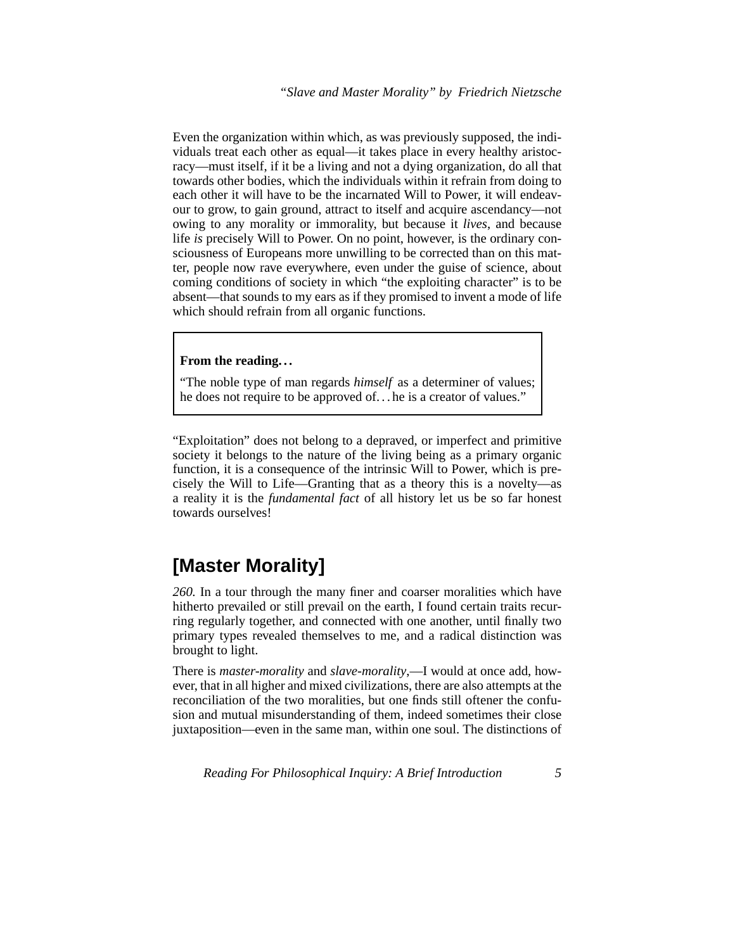<span id="page-4-1"></span>Even the organization within which, as was previously supposed, the individuals treat each other as equal—it takes place in every healthy aristocracy—must itself, if it be a living and not a dying organization, do all that towards other bodies, which the individuals within it refrain from doing to each other it will have to be the incarnated Will to Power, it will endeavour to grow, to gain ground, attract to itself and acquire ascendancy—not owing to any morality or immorality, but because it *lives*, and because life *is* precisely Will to Power. On no point, however, is the ordinary consciousness of Europeans more unwilling to be corrected than on this matter, people now rave everywhere, even under the guise of science, about coming conditions of society in which "the exploiting character" is to be absent—that sounds to my ears as if they promised to invent a mode of life which should refrain from all organic functions.

#### **From the reading. . .**

"The noble type of man regards *himself* as a determiner of values; he does not require to be approved of. . . he is a creator of values."

"Exploitation" does not belong to a depraved, or imperfect and primitive society it belongs to the nature of the living being as a primary organic function, it is a consequence of the intrinsic Will to Power, which is precisely the Will to Life—Granting that as a theory this is a novelty—as a reality it is the *fundamental fact* of all history let us be so far honest towards ourselves!

#### **[Master Morality]**

*260.* In a tour through the many finer and coarser moralities which have hitherto prevailed or still prevail on the earth, I found certain traits recurring regularly together, and connected with one another, until finally two primary types revealed themselves to me, and a radical distinction was brought to light.

<span id="page-4-0"></span>There is *master-morality* and *slave-morality*,—I would at once add, however, that in all higher and mixed civilizations, there are also attempts at the reconciliation of the two moralities, but one finds still oftener the confusion and mutual misunderstanding of them, indeed sometimes their close juxtaposition—even in the same man, within one soul. The distinctions of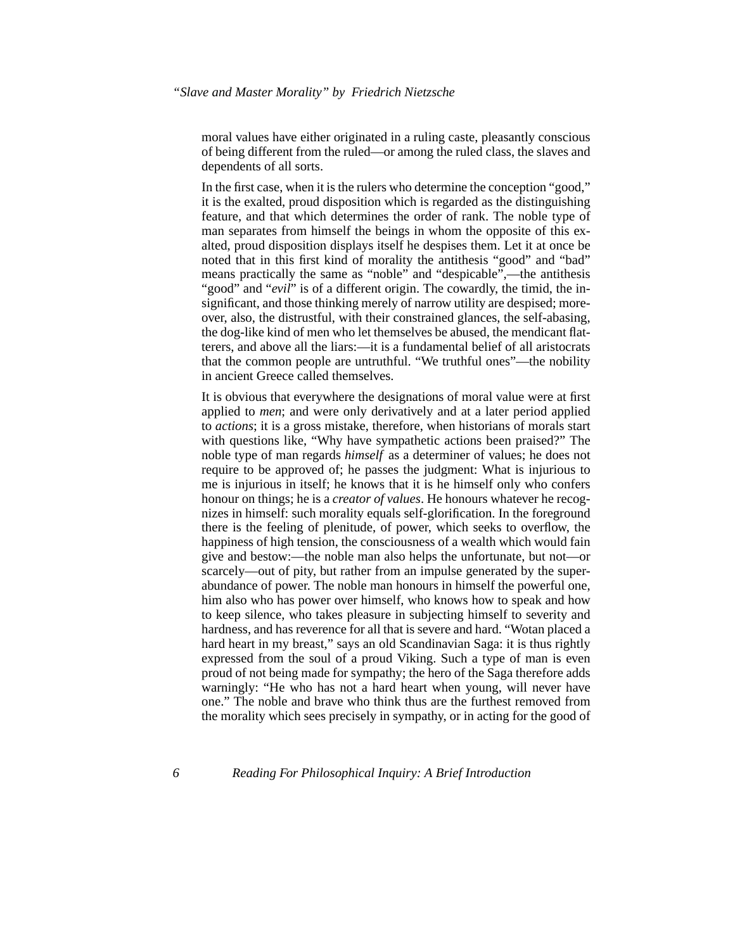moral values have either originated in a ruling caste, pleasantly conscious of being different from the ruled—or among the ruled class, the slaves and dependents of all sorts.

<span id="page-5-0"></span>In the first case, when it is the rulers who determine the conception "good," it is the exalted, proud disposition which is regarded as the distinguishing feature, and that which determines the order of rank. The noble type of man separates from himself the beings in whom the opposite of this exalted, proud disposition displays itself he despises them. Let it at once be noted that in this first kind of morality the antithesis "good" and "bad" means practically the same as "noble" and "despicable",—the antithesis "good" and "*evil*" is of a different origin. The cowardly, the timid, the insignificant, and those thinking merely of narrow utility are despised; moreover, also, the distrustful, with their constrained glances, the self-abasing, the dog-like kind of men who let themselves be abused, the mendicant flatterers, and above all the liars:—it is a fundamental belief of all aristocrats that the common people are untruthful. "We truthful ones"—the nobility in ancient Greece called themselves.

It is obvious that everywhere the designations of moral value were at first applied to *men*; and were only derivatively and at a later period applied to *actions*; it is a gross mistake, therefore, when historians of morals start with questions like, "Why have sympathetic actions been praised?" The noble type of man regards *himself* as a determiner of values; he does not require to be approved of; he passes the judgment: What is injurious to me is injurious in itself; he knows that it is he himself only who confers honour on things; he is a *creator of values*. He honours whatever he recognizes in himself: such morality equals self-glorification. In the foreground there is the feeling of plenitude, of power, which seeks to overflow, the happiness of high tension, the consciousness of a wealth which would fain give and bestow:—the noble man also helps the unfortunate, but not—or scarcely—out of pity, but rather from an impulse generated by the superabundance of power. The noble man honours in himself the powerful one, him also who has power over himself, who knows how to speak and how to keep silence, who takes pleasure in subjecting himself to severity and hardness, and has reverence for all that is severe and hard. "Wotan placed a hard heart in my breast," says an old Scandinavian Saga: it is thus rightly expressed from the soul of a proud Viking. Such a type of man is even proud of not being made for sympathy; the hero of the Saga therefore adds warningly: "He who has not a hard heart when young, will never have one." The noble and brave who think thus are the furthest removed from the morality which sees precisely in sympathy, or in acting for the good of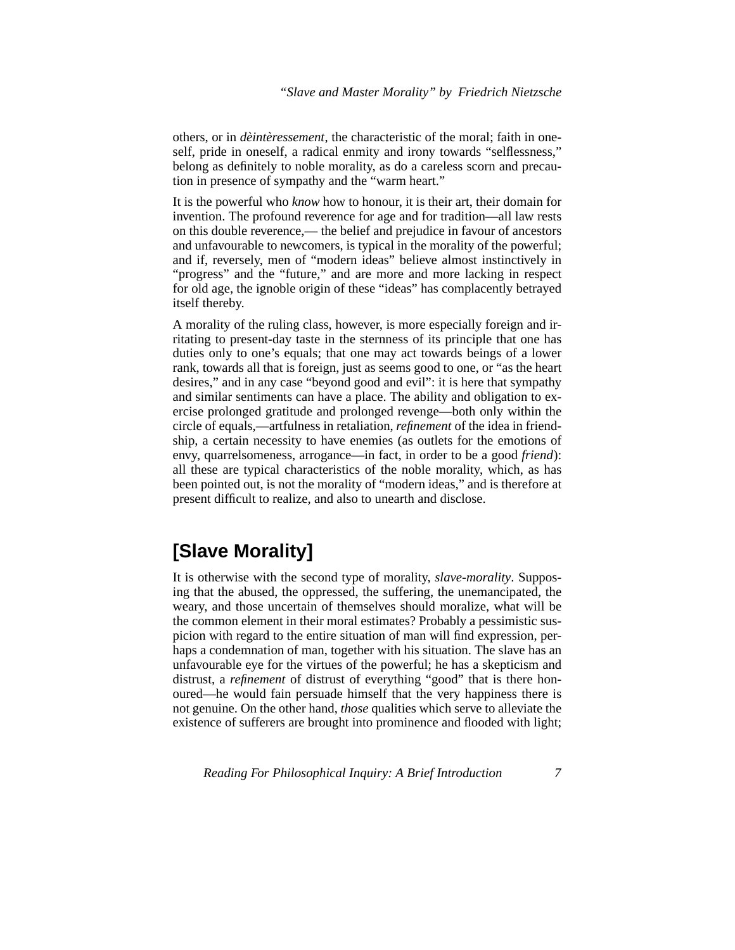others, or in *dèintèressement*, the characteristic of the moral; faith in oneself, pride in oneself, a radical enmity and irony towards "selflessness," belong as definitely to noble morality, as do a careless scorn and precaution in presence of sympathy and the "warm heart."

<span id="page-6-3"></span><span id="page-6-0"></span>It is the powerful who *know* how to honour, it is their art, their domain for invention. The profound reverence for age and for tradition—all law rests on this double reverence,— the belief and prejudice in favour of ancestors and unfavourable to newcomers, is typical in the morality of the powerful; and if, reversely, men of "modern ideas" believe almost instinctively in "progress" and the "future," and are more and more lacking in respect for old age, the ignoble origin of these "ideas" has complacently betrayed itself thereby.

A morality of the ruling class, however, is more especially foreign and irritating to present-day taste in the sternness of its principle that one has duties only to one's equals; that one may act towards beings of a lower rank, towards all that is foreign, just as seems good to one, or "as the heart desires," and in any case "beyond good and evil": it is here that sympathy and similar sentiments can have a place. The ability and obligation to exercise prolonged gratitude and prolonged revenge—both only within the circle of equals,—artfulness in retaliation, *refinement* of the idea in friendship, a certain necessity to have enemies (as outlets for the emotions of envy, quarrelsomeness, arrogance—in fact, in order to be a good *friend*): all these are typical characteristics of the noble morality, which, as has been pointed out, is not the morality of "modern ideas," and is therefore at present difficult to realize, and also to unearth and disclose.

### <span id="page-6-1"></span>**[Slave Morality]**

<span id="page-6-2"></span>It is otherwise with the second type of morality, *slave-morality*. Supposing that the abused, the oppressed, the suffering, the unemancipated, the weary, and those uncertain of themselves should moralize, what will be the common element in their moral estimates? Probably a pessimistic suspicion with regard to the entire situation of man will find expression, perhaps a condemnation of man, together with his situation. The slave has an unfavourable eye for the virtues of the powerful; he has a skepticism and distrust, a *refinement* of distrust of everything "good" that is there honoured—he would fain persuade himself that the very happiness there is not genuine. On the other hand, *those* qualities which serve to alleviate the existence of sufferers are brought into prominence and flooded with light;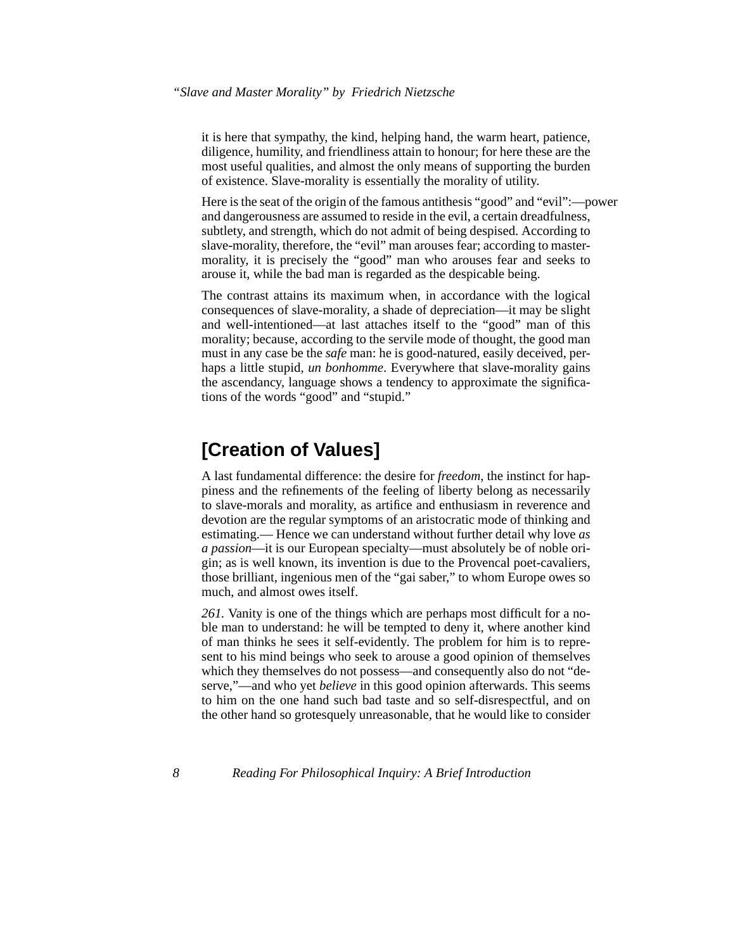it is here that sympathy, the kind, helping hand, the warm heart, patience, diligence, humility, and friendliness attain to honour; for here these are the most useful qualities, and almost the only means of supporting the burden of existence. Slave-morality is essentially the morality of utility.

<span id="page-7-1"></span>Here is the seat of the origin of the famous antithesis "good" and "evil":—power and dangerousness are assumed to reside in the evil, a certain dreadfulness, subtlety, and strength, which do not admit of being despised. According to slave-morality, therefore, the "evil" man arouses fear; according to mastermorality, it is precisely the "good" man who arouses fear and seeks to arouse it, while the bad man is regarded as the despicable being.

The contrast attains its maximum when, in accordance with the logical consequences of slave-morality, a shade of depreciation—it may be slight and well-intentioned—at last attaches itself to the "good" man of this morality; because, according to the servile mode of thought, the good man must in any case be the *safe* man: he is good-natured, easily deceived, perhaps a little stupid, *un bonhomme*. Everywhere that slave-morality gains the ascendancy, language shows a tendency to approximate the significations of the words "good" and "stupid."

### **[Creation of Values]**

<span id="page-7-0"></span>A last fundamental difference: the desire for *freedom*, the instinct for happiness and the refinements of the feeling of liberty belong as necessarily to slave-morals and morality, as artifice and enthusiasm in reverence and devotion are the regular symptoms of an aristocratic mode of thinking and estimating.— Hence we can understand without further detail why love *as a passion*—it is our European specialty—must absolutely be of noble origin; as is well known, its invention is due to the Provencal poet-cavaliers, those brilliant, ingenious men of the "gai saber," to whom Europe owes so much, and almost owes itself.

<span id="page-7-2"></span>*261.* Vanity is one of the things which are perhaps most difficult for a noble man to understand: he will be tempted to deny it, where another kind of man thinks he sees it self-evidently. The problem for him is to represent to his mind beings who seek to arouse a good opinion of themselves which they themselves do not possess—and consequently also do not "deserve,"—and who yet *believe* in this good opinion afterwards. This seems to him on the one hand such bad taste and so self-disrespectful, and on the other hand so grotesquely unreasonable, that he would like to consider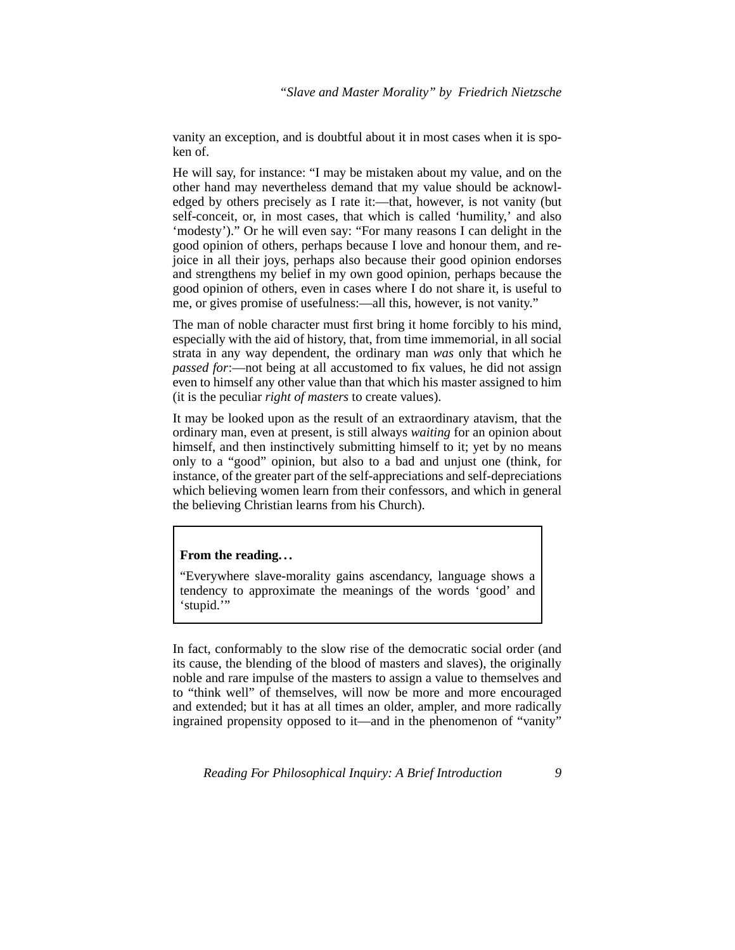vanity an exception, and is doubtful about it in most cases when it is spoken of.

He will say, for instance: "I may be mistaken about my value, and on the other hand may nevertheless demand that my value should be acknowledged by others precisely as I rate it:—that, however, is not vanity (but self-conceit, or, in most cases, that which is called 'humility,' and also 'modesty')." Or he will even say: "For many reasons I can delight in the good opinion of others, perhaps because I love and honour them, and rejoice in all their joys, perhaps also because their good opinion endorses and strengthens my belief in my own good opinion, perhaps because the good opinion of others, even in cases where I do not share it, is useful to me, or gives promise of usefulness:—all this, however, is not vanity."

The man of noble character must first bring it home forcibly to his mind, especially with the aid of history, that, from time immemorial, in all social strata in any way dependent, the ordinary man *was* only that which he *passed for*:—not being at all accustomed to fix values, he did not assign even to himself any other value than that which his master assigned to him (it is the peculiar *right of masters* to create values).

It may be looked upon as the result of an extraordinary atavism, that the ordinary man, even at present, is still always *waiting* for an opinion about himself, and then instinctively submitting himself to it; yet by no means only to a "good" opinion, but also to a bad and unjust one (think, for instance, of the greater part of the self-appreciations and self-depreciations which believing women learn from their confessors, and which in general the believing Christian learns from his Church).

#### **From the reading. . .**

"Everywhere slave-morality gains ascendancy, language shows a tendency to approximate the meanings of the words 'good' and 'stupid.'"

<span id="page-8-0"></span>In fact, conformably to the slow rise of the democratic social order (and its cause, the blending of the blood of masters and slaves), the originally noble and rare impulse of the masters to assign a value to themselves and to "think well" of themselves, will now be more and more encouraged and extended; but it has at all times an older, ampler, and more radically ingrained propensity opposed to it—and in the phenomenon of "vanity"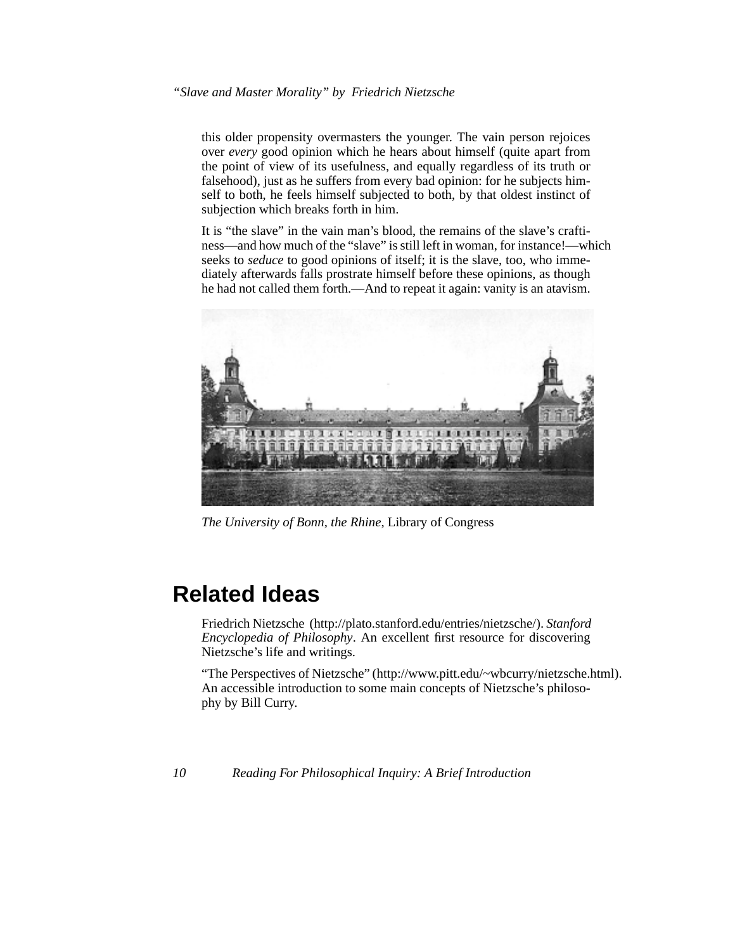this older propensity overmasters the younger. The vain person rejoices over *every* good opinion which he hears about himself (quite apart from the point of view of its usefulness, and equally regardless of its truth or falsehood), just as he suffers from every bad opinion: for he subjects himself to both, he feels himself subjected to both, by that oldest instinct of subjection which breaks forth in him.

It is "the slave" in the vain man's blood, the remains of the slave's craftiness—and how much of the "slave" is still left in woman, for instance!—which seeks to *seduce* to good opinions of itself; it is the slave, too, who immediately afterwards falls prostrate himself before these opinions, as though he had not called them forth.—And to repeat it again: vanity is an atavism.



*The University of Bonn, the Rhine*, Library of Congress

# **Related Ideas**

Friedrich Nietzsche (http://plato.stanford.edu/entries/nietzsche/). *Stanford Encyclopedia of Philosophy*. An excellent first resource for discovering Nietzsche's life and writings.

"The Perspectives of Nietzsche" (http://www.pitt.edu/~wbcurry/nietzsche.html). An accessible introduction to some main concepts of Nietzsche's philosophy by Bill Curry.

*10 Reading For Philosophical Inquiry: A Brief Introduction*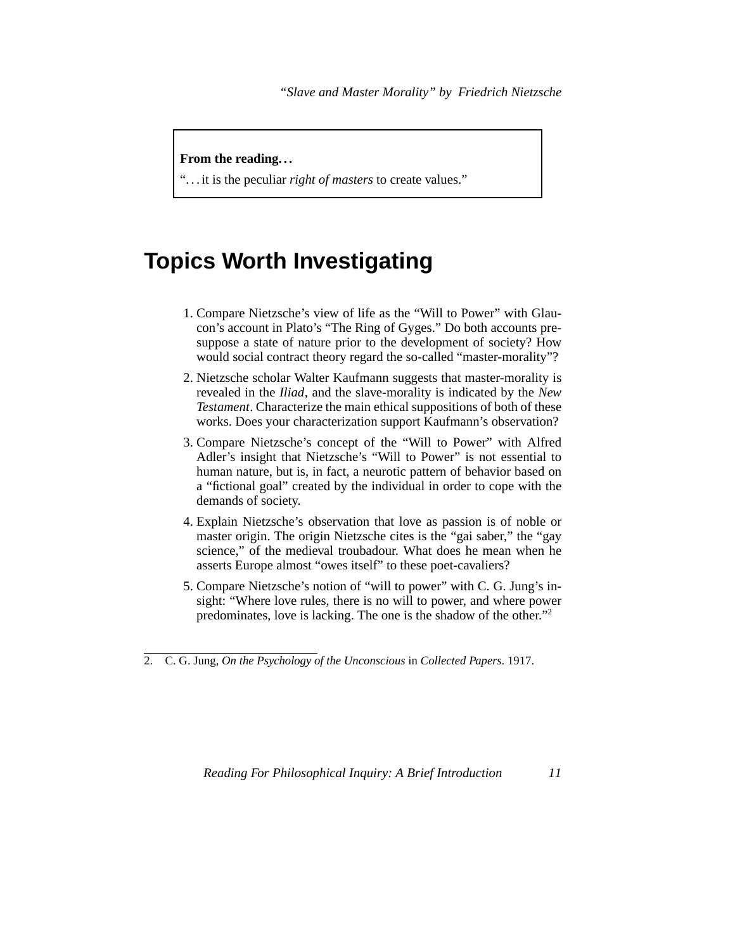#### **From the reading. . .**

". . . it is the peculiar *right of masters* to create values."

## **Topics Worth Investigating**

- <span id="page-10-4"></span>1. Compare Nietzsche's view of life as the "Will to Power" with Glaucon's account in Plato's "The Ring of Gyges." Do both accounts presuppose a state of nature prior to the development of society? How would social contract theory regard the so-called "master-morality"?
- <span id="page-10-6"></span><span id="page-10-5"></span><span id="page-10-2"></span><span id="page-10-1"></span>2. Nietzsche scholar Walter Kaufmann suggests that master-morality is revealed in the *Iliad*, and the slave-morality is indicated by the *New Testament*. Characterize the main ethical suppositions of both of these works. Does your characterization support Kaufmann's observation?
- <span id="page-10-3"></span>3. Compare Nietzsche's concept of the "Will to Power" with Alfred Adler's insight that Nietzsche's "Will to Power" is not essential to human nature, but is, in fact, a neurotic pattern of behavior based on a "fictional goal" created by the individual in order to cope with the demands of society.
- <span id="page-10-0"></span>4. Explain Nietzsche's observation that love as passion is of noble or master origin. The origin Nietzsche cites is the "gai saber," the "gay science," of the medieval troubadour. What does he mean when he asserts Europe almost "owes itself" to these poet-cavaliers?
- 5. Compare Nietzsche's notion of "will to power" with C. G. Jung's insight: "Where love rules, there is no will to power, and where power predominates, love is lacking. The one is the shadow of the other."<sup>2</sup>

<sup>2.</sup> C. G. Jung, *On the Psychology of the Unconscious* in *Collected Papers*. 1917.